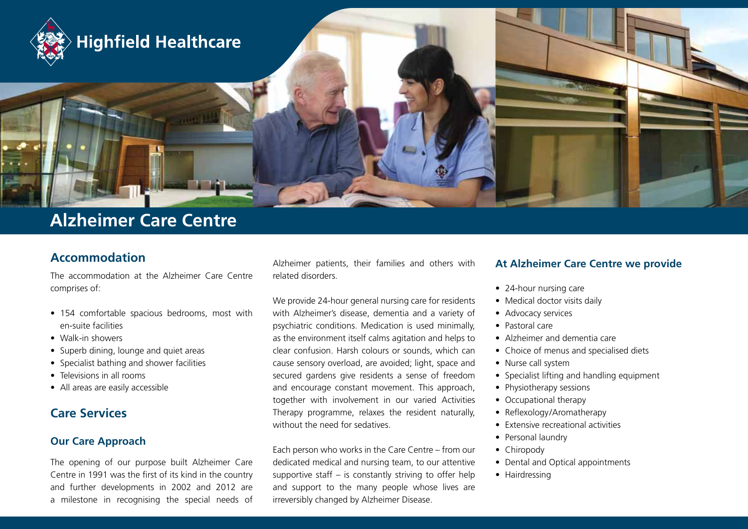

# **Alzheimer Care Centre**

### **Accommodation**

The accommodation at the Alzheimer Care Centre comprises of:

- • 154 comfortable spacious bedrooms, most with en-suite facilities
- Walk-in showers
- Superb dining, lounge and quiet areas
- Specialist bathing and shower facilities
- Televisions in all rooms
- All areas are easily accessible

### **Care Services**

#### **Our Care Approach**

The opening of our purpose built Alzheimer Care Centre in 1991 was the first of its kind in the country and further developments in 2002 and 2012 are a milestone in recognising the special needs of Alzheimer patients, their families and others with related disorders.

We provide 24-hour general nursing care for residents with Alzheimer's disease, dementia and a variety of psychiatric conditions. Medication is used minimally, as the environment itself calms agitation and helps to clear confusion. Harsh colours or sounds, which can cause sensory overload, are avoided; light, space and secured gardens give residents a sense of freedom and encourage constant movement. This approach, together with involvement in our varied Activities Therapy programme, relaxes the resident naturally, without the need for sedatives.

Each person who works in the Care Centre – from our dedicated medical and nursing team, to our attentive supportive staff – is constantly striving to offer help and support to the many people whose lives are irreversibly changed by Alzheimer Disease.

#### **At Alzheimer Care Centre we provide**

- 24-hour nursing care
- Medical doctor visits daily
- Advocacy services
- • Pastoral care
- • Alzheimer and dementia care
- Choice of menus and specialised diets
- Nurse call system
- Specialist lifting and handling equipment
- Physiotherapy sessions
- Occupational therapy
- Reflexology/Aromatherapy
- Extensive recreational activities
- Personal laundry
- Chiropody
- Dental and Optical appointments
- Hairdressing